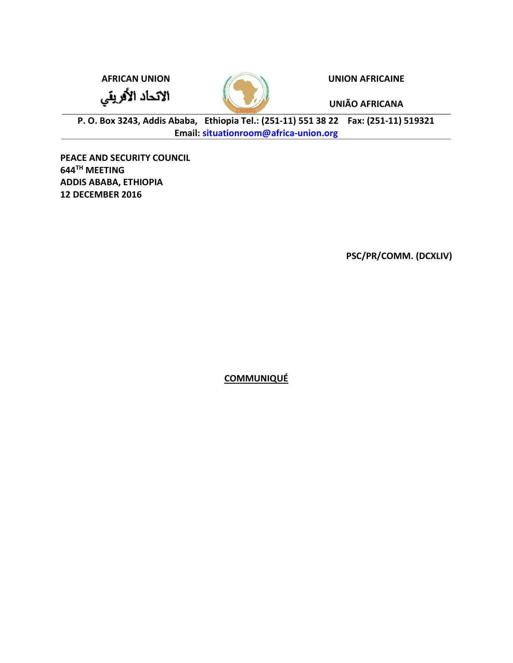الاتحاد الأفريقي



AFRICAN UNION **AFRICAINE** 

UNIÃO AFRICANA

P. O. Box 3243, Addis Ababa, Ethiopia Tel.: (251-11) 551 38 22 Fax: (251-11) 519321 Email: situationroom@africa-union.org

PEACE AND SECURITY COUNCIL 644TH MEETING ADDIS ABABA, ETHIOPIA 12 DECEMBER 2016

PSC/PR/COMM. (DCXLIV)

**COMMUNIQUÉ**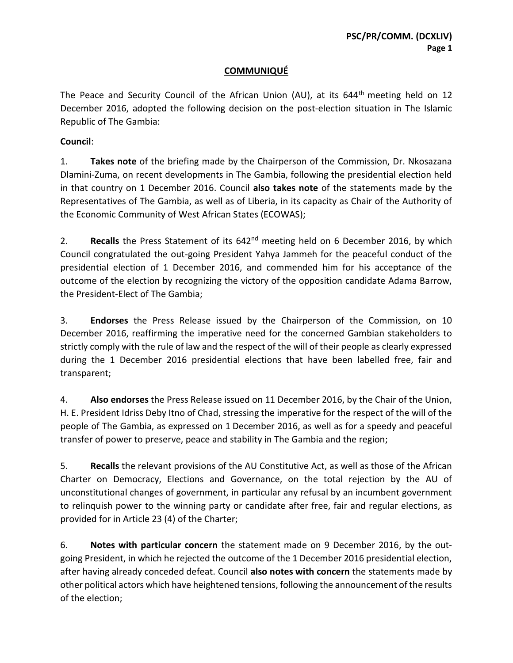## **COMMUNIQUÉ**

The Peace and Security Council of the African Union (AU), at its  $644<sup>th</sup>$  meeting held on 12 December 2016, adopted the following decision on the post-election situation in The Islamic Republic of The Gambia:

## Council:

1. Takes note of the briefing made by the Chairperson of the Commission, Dr. Nkosazana Dlamini-Zuma, on recent developments in The Gambia, following the presidential election held in that country on 1 December 2016. Council also takes note of the statements made by the Representatives of The Gambia, as well as of Liberia, in its capacity as Chair of the Authority of the Economic Community of West African States (ECOWAS);

2. Recalls the Press Statement of its  $642<sup>nd</sup>$  meeting held on 6 December 2016, by which Council congratulated the out-going President Yahya Jammeh for the peaceful conduct of the presidential election of 1 December 2016, and commended him for his acceptance of the outcome of the election by recognizing the victory of the opposition candidate Adama Barrow, the President-Elect of The Gambia;

3. Endorses the Press Release issued by the Chairperson of the Commission, on 10 December 2016, reaffirming the imperative need for the concerned Gambian stakeholders to strictly comply with the rule of law and the respect of the will of their people as clearly expressed during the 1 December 2016 presidential elections that have been labelled free, fair and transparent;

4. Also endorses the Press Release issued on 11 December 2016, by the Chair of the Union, H. E. President Idriss Deby Itno of Chad, stressing the imperative for the respect of the will of the people of The Gambia, as expressed on 1 December 2016, as well as for a speedy and peaceful transfer of power to preserve, peace and stability in The Gambia and the region;

5. Recalls the relevant provisions of the AU Constitutive Act, as well as those of the African Charter on Democracy, Elections and Governance, on the total rejection by the AU of unconstitutional changes of government, in particular any refusal by an incumbent government to relinquish power to the winning party or candidate after free, fair and regular elections, as provided for in Article 23 (4) of the Charter;

6. Notes with particular concern the statement made on 9 December 2016, by the outgoing President, in which he rejected the outcome of the 1 December 2016 presidential election, after having already conceded defeat. Council also notes with concern the statements made by other political actors which have heightened tensions, following the announcement of the results of the election;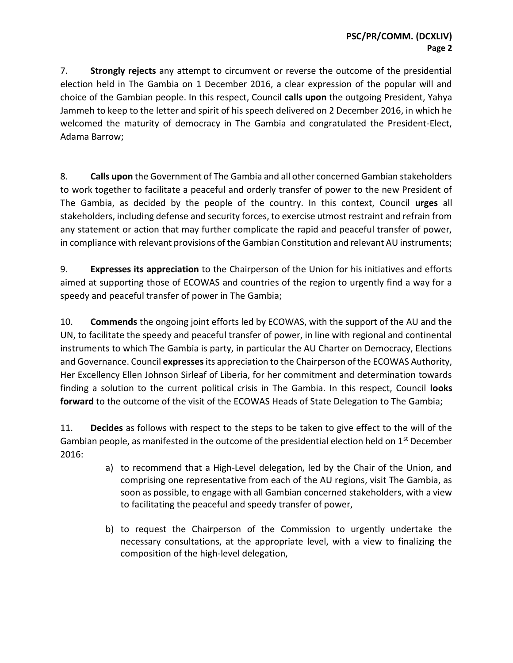7. Strongly rejects any attempt to circumvent or reverse the outcome of the presidential election held in The Gambia on 1 December 2016, a clear expression of the popular will and choice of the Gambian people. In this respect, Council calls upon the outgoing President, Yahya Jammeh to keep to the letter and spirit of his speech delivered on 2 December 2016, in which he welcomed the maturity of democracy in The Gambia and congratulated the President-Elect, Adama Barrow;

8. Calls upon the Government of The Gambia and all other concerned Gambian stakeholders to work together to facilitate a peaceful and orderly transfer of power to the new President of The Gambia, as decided by the people of the country. In this context, Council urges all stakeholders, including defense and security forces, to exercise utmost restraint and refrain from any statement or action that may further complicate the rapid and peaceful transfer of power, in compliance with relevant provisions of the Gambian Constitution and relevant AU instruments;

9. **Expresses its appreciation** to the Chairperson of the Union for his initiatives and efforts aimed at supporting those of ECOWAS and countries of the region to urgently find a way for a speedy and peaceful transfer of power in The Gambia;

10. Commends the ongoing joint efforts led by ECOWAS, with the support of the AU and the UN, to facilitate the speedy and peaceful transfer of power, in line with regional and continental instruments to which The Gambia is party, in particular the AU Charter on Democracy, Elections and Governance. Council expresses its appreciation to the Chairperson of the ECOWAS Authority, Her Excellency Ellen Johnson Sirleaf of Liberia, for her commitment and determination towards finding a solution to the current political crisis in The Gambia. In this respect, Council **looks** forward to the outcome of the visit of the ECOWAS Heads of State Delegation to The Gambia;

11. Decides as follows with respect to the steps to be taken to give effect to the will of the Gambian people, as manifested in the outcome of the presidential election held on 1<sup>st</sup> December 2016:

- a) to recommend that a High-Level delegation, led by the Chair of the Union, and comprising one representative from each of the AU regions, visit The Gambia, as soon as possible, to engage with all Gambian concerned stakeholders, with a view to facilitating the peaceful and speedy transfer of power,
- b) to request the Chairperson of the Commission to urgently undertake the necessary consultations, at the appropriate level, with a view to finalizing the composition of the high-level delegation,